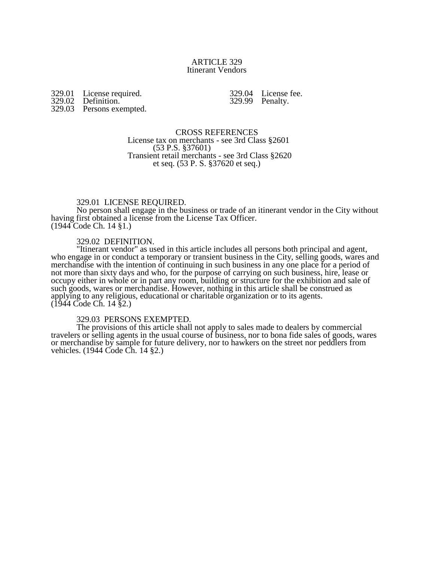### ARTICLE 329 Itinerant Vendors

329.01 License required. 329.02 Definition. 329.03 Persons exempted.

329.04 License fee. 329.99 Penalty.

CROSS REFERENCES License tax on merchants - see 3rd Class §2601 (53 P.S. §37601) Transient retail merchants - see 3rd Class §2620 et seq. (53 P. S. §37620 et seq.)

## 329.01 LICENSE REQUIRED.

No person shall engage in the business or trade of an itinerant vendor in the City without having first obtained a license from the License Tax Officer. (1944 Code Ch. 14 §1.)

#### 329.02 DEFINITION.

"Itinerant vendor" as used in this article includes all persons both principal and agent, who engage in or conduct a temporary or transient business in the City, selling goods, wares and merchandise with the intention of continuing in such business in any one place for a period of not more than sixty days and who, for the purpose of carrying on such business, hire, lease or occupy either in whole or in part any room, building or structure for the exhibition and sale of such goods, wares or merchandise. However, nothing in this article shall be construed as applying to any religious, educational or charitable organization or to its agents. (1944 Code Ch. 14 §2.)

#### 329.03 PERSONS EXEMPTED.

The provisions of this article shall not apply to sales made to dealers by commercial travelers or selling agents in the usual course of business, nor to bona fide sales of goods, wares or merchandise by sample for future delivery, nor to hawkers on the street nor peddlers from vehicles. (1944 Code Ch. 14 §2.)